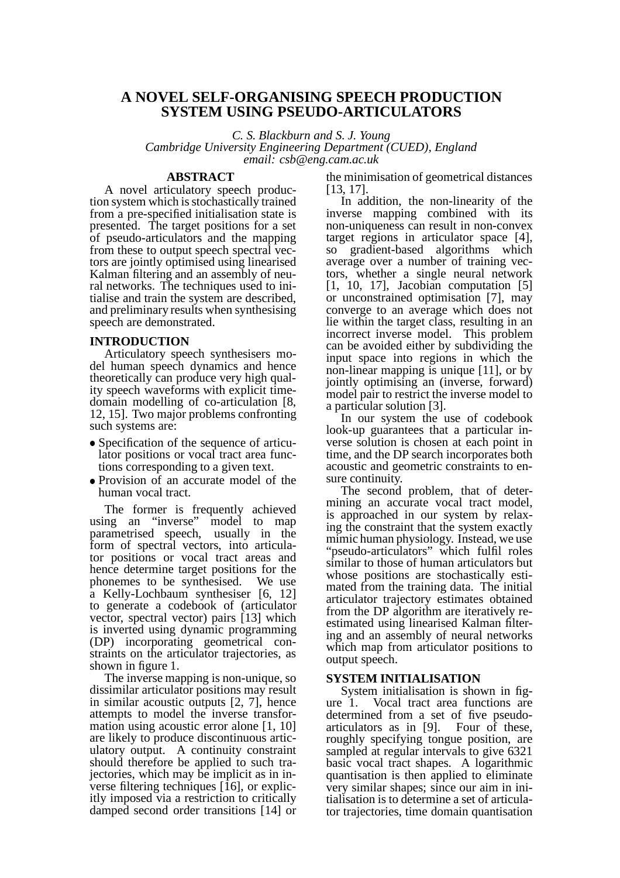# **A NOVEL SELF-ORGANISING SPEECH PRODUCTION SYSTEM USING PSEUDO-ARTICULATORS**

*C. S. Blackburn and S. J. Young*

*Cambridge University Engineering Department (CUED), England email: csb@eng.cam.ac.uk*

## **ABSTRACT**

A novel articulatory speech production system which is stochastically trained from a pre-specified initialisation state is presented. The target positions for a set of pseudo-articulators and the mapping from these to output speech spectral vectors are jointly optimised using linearised Kalman filtering and an assembly of neural networks. The techniques used to initialise and train the system are described, and preliminary results when synthesising speech are demonstrated.

#### **INTRODUCTION**

Articulatory speech synthesisers model human speech dynamics and hence theoretically can produce very high quality speech waveforms with explicit timedomain modelling of co-articulation [8, 12, 15]. Two major problems confronting such systems are:

- Specification of the sequence of articulator positions or vocal tract area functions corresponding to a given text.
- Provision of an accurate model of the human vocal tract.

The former is frequently achieved using an "inverse" model to map parametrised speech, usually in the form of spectral vectors, into articulator positions or vocal tract areas and hence determine target positions for the phonemes to be synthesised. We use a Kelly-Lochbaum synthesiser [6, 12] to generate a codebook of (articulator vector, spectral vector) pairs [13] which is inverted using dynamic programming (DP) incorporating geometrical constraints on the articulator trajectories, as shown in figure 1.

The inverse mapping is non-unique, so dissimilar articulator positions may result in similar acoustic outputs [2, 7], hence attempts to model the inverse transformation using acoustic error alone [1, 10] are likely to produce discontinuous articulatory output. A continuity constraint should therefore be applied to such trajectories, which may be implicit as in inverse filtering techniques [16], or explicitly imposed via a restriction to critically damped second order transitions [14] or the minimisation of geometrical distances [13, 17].

In addition, the non-linearity of the inverse mapping combined with its non-uniqueness can result in non-convex target regions in articulator space [4], so gradient-based algorithms which average over a number of training vectors, whether a single neural network [1, 10, 17], Jacobian computation [5] or unconstrained optimisation [7], may converge to an average which does not lie within the target class, resulting in an incorrect inverse model. This problem can be avoided either by subdividing the input space into regions in which the non-linear mapping is unique [11], or by jointly optimising an (inverse, forward) model pair to restrict the inverse model to a particular solution [3].

In our system the use of codebook look-up guarantees that a particular inverse solution is chosen at each point in time, and the DP search incorporates both acoustic and geometric constraints to ensure continuity.

The second problem, that of determining an accurate vocal tract model, is approached in our system by relaxing the constraint that the system exactly mimic human physiology. Instead, we use "pseudo-articulators" which fulfil roles similar to those of human articulators but whose positions are stochastically estimated from the training data. The initial articulator trajectory estimates obtained from the DP algorithm are iteratively reestimated using linearised Kalman filtering and an assembly of neural networks which map from articulator positions to output speech.

#### **SYSTEM INITIALISATION**

System initialisation is shown in figure 1. Vocal tract area functions are determined from a set of five pseudoarticulators as in [9]. Four of these, roughly specifying tongue position, are sampled at regular intervals to give 6321 basic vocal tract shapes. A logarithmic quantisation is then applied to eliminate very similar shapes; since our aim in initialisation is to determine a set of articulator trajectories, time domain quantisation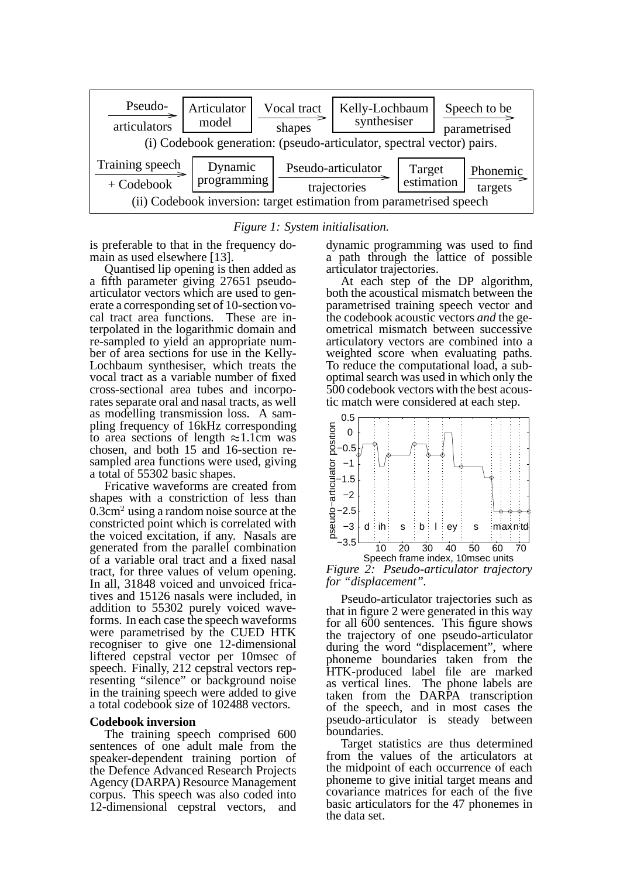

*Figure 1: System initialisation.*

is preferable to that in the frequency domain as used elsewhere [13].

Quantised lip opening is then added as a fifth parameter giving 27651 pseudoarticulator vectors which are used to generate a corresponding set of 10-section vocal tract area functions. These are interpolated in the logarithmic domain and re-sampled to yield an appropriate number of area sections for use in the Kelly-Lochbaum synthesiser, which treats the vocal tract as a variable number of fixed cross-sectional area tubes and incorporates separate oral and nasal tracts, as well as modelling transmission loss. A sampling frequency of 16kHz corresponding to area sections of length  $\approx$  1.1cm was chosen, and both 15 and 16-section resampled area functions were used, giving a total of 55302 basic shapes.

Fricative waveforms are created from shapes with a constriction of less than  $0.3 \text{cm}^2$  using a random noise source at the constricted point which is correlated with the voiced excitation, if any. Nasals are generated from the parallel combination of a variable oral tract and a fixed nasal tract, for three values of velum opening. In all, 31848 voiced and unvoiced fricatives and 15126 nasals were included, in addition to 55302 purely voiced waveforms. In each case the speech waveforms were parametrised by the CUED HTK recogniser to give one 12-dimensional liftered cepstral vector per 10msec of speech. Finally, 212 cepstral vectors representing "silence" or background noise in the training speech were added to give a total codebook size of 102488 vectors.

#### **Codebook inversion**

The training speech comprised 600 sentences of one adult male from the speaker-dependent training portion of the Defence Advanced Research Projects Agency (DARPA) Resource Management corpus. This speech was also coded into 12-dimensional cepstral vectors, and

dynamic programming was used to find a path through the lattice of possible articulator trajectories.

At each step of the DP algorithm, both the acoustical mismatch between the parametrised training speech vector and the codebook acoustic vectors *and* the geometrical mismatch between successive articulatory vectors are combined into a weighted score when evaluating paths. To reduce the computational load, a suboptimal search was used in which only the 500 codebook vectors with the best acoustic match were considered at each step.



*Figure 2: Pseudo-articulator trajectory for "displacement".*

Pseudo-articulator trajectories such as that in figure 2 were generated in this way for all 600 sentences. This figure shows the trajectory of one pseudo-articulator during the word "displacement", where phoneme boundaries taken from the HTK-produced label file are marked as vertical lines. The phone labels are taken from the DARPA transcription of the speech, and in most cases the pseudo-articulator is steady between boundaries.

Target statistics are thus determined from the values of the articulators at the midpoint of each occurrence of each phoneme to give initial target means and covariance matrices for each of the five basic articulators for the 47 phonemes in the data set.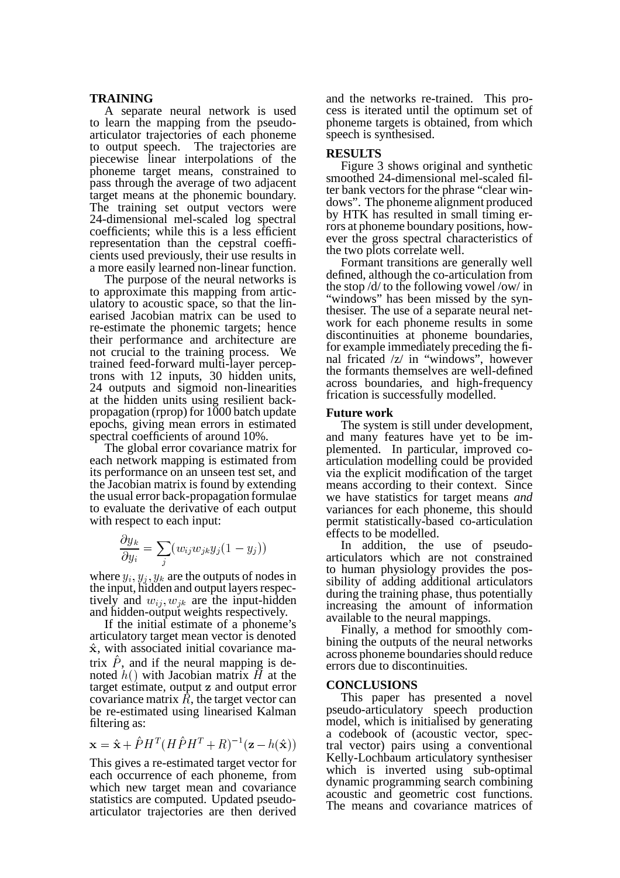#### **TRAINING**

A separate neural network is used to learn the mapping from the pseudoarticulator trajectories of each phoneme to output speech. The trajectories are piecewise linear interpolations of the phoneme target means, constrained to pass through the average of two adjacent target means at the phonemic boundary. The training set output vectors were 24-dimensional mel-scaled log spectral coefficients; while this is a less efficient representation than the cepstral coefficients used previously, their use results in a more easily learned non-linear function.

The purpose of the neural networks is to approximate this mapping from articulatory to acoustic space, so that the linearised Jacobian matrix can be used to re-estimate the phonemic targets; hence their performance and architecture are not crucial to the training process. We trained feed-forward multi-layer perceptrons with 12 inputs, 30 hidden units, 24 outputs and sigmoid non-linearities at the hidden units using resilient backpropagation (rprop) for 1000 batch update epochs, giving mean errors in estimated spectral coefficients of around 10%.

The global error covariance matrix for each network mapping is estimated from its performance on an unseen test set, and the Jacobian matrix is found by extending the usual error back-propagation formulae to evaluate the derivative of each output with respect to each input:

$$
\frac{\partial y_k}{\partial y_i} = \sum_j (w_{ij}w_{jk}y_j(1-y_j))
$$

-

where  $y_i, y_j, y_k$  are the outputs of nodes in the input, hidden and output layers respectively and  $w_{ij}, w_{jk}$  are the  $k_{k}$  are the input-hidden and hidden-output weights respectively.

If the initial estimate of a phoneme's articulatory target mean vector is denoted  $\hat{\mathbf{x}}$ , with associated initial covariance matrix  $\hat{P}$ , and if the neural mapping is denoted  $h()$  with Jacobian matrix  $\overrightarrow{H}$  at the target estimate, output z and output error covariance matrix  $R$ , the target vector can be re-estimated using linearised Kalman filtering as:

$$
\mathbf{x} = \hat{\mathbf{x}} + \hat{P}H^{T}(H\hat{P}H^{T} + R)^{-1}(\mathbf{z} - h(\hat{\mathbf{x}}))
$$

This gives a re-estimated target vector for each occurrence of each phoneme, from which new target mean and covariance statistics are computed. Updated pseudoarticulator trajectories are then derived

and the networks re-trained. This process is iterated until the optimum set of phoneme targets is obtained, from which speech is synthesised.

## **RESULTS**

Figure 3 shows original and synthetic smoothed 24-dimensional mel-scaled filter bank vectors for the phrase "clear windows". The phoneme alignment produced by HTK has resulted in small timing errors at phoneme boundary positions, however the gross spectral characteristics of the two plots correlate well.

Formant transitions are generally well defined, although the co-articulation from the stop /d/ to the following vowel /ow/ in "windows" has been missed by the synthesiser. The use of a separate neural network for each phoneme results in some discontinuities at phoneme boundaries, for example immediately preceding the final fricated /z/ in "windows", however the formants themselves are well-defined across boundaries, and high-frequency frication is successfully modelled.

## **Future work**

The system is still under development, and many features have yet to be implemented. In particular, improved coarticulation modelling could be provided via the explicit modification of the target means according to their context. Since we have statistics for target means *and* variances for each phoneme, this should permit statistically-based co-articulation effects to be modelled.

In addition, the use of pseudoarticulators which are not constrained to human physiology provides the possibility of adding additional articulators during the training phase, thus potentially increasing the amount of information available to the neural mappings.

Finally, a method for smoothly combining the outputs of the neural networks across phoneme boundaries should reduce errors due to discontinuities.

#### **CONCLUSIONS**

This paper has presented a novel pseudo-articulatory speech production model, which is initialised by generating a codebook of (acoustic vector, spectral vector) pairs using a conventional Kelly-Lochbaum articulatory synthesiser which is inverted using sub-optimal dynamic programming search combining acoustic and geometric cost functions. The means and covariance matrices of